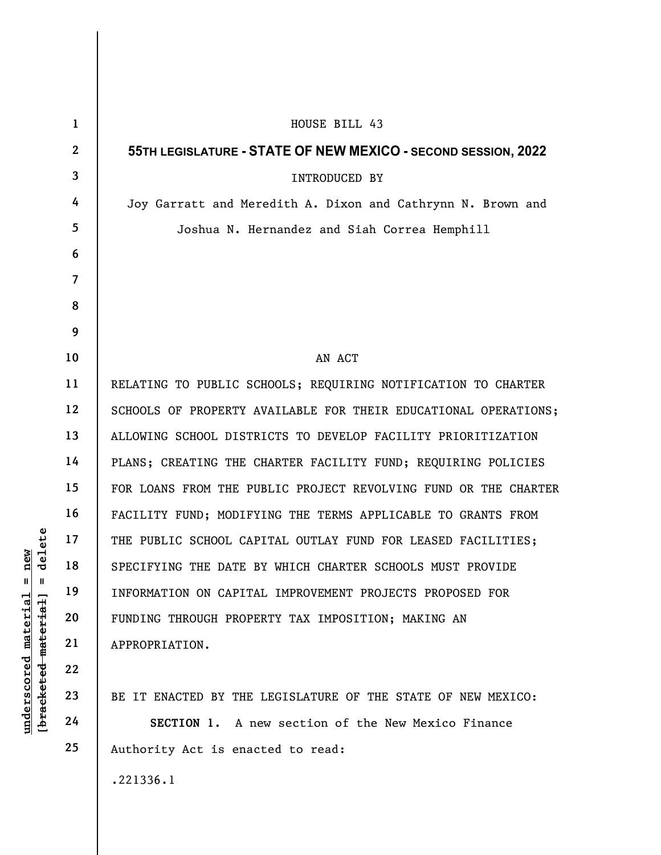| delete<br>new<br>$\mathsf{I}$<br>ш<br>$underscored$ material<br>[ <del>bracketed material</del> ] | $\mathbf{1}$   | HOUSE BILL 43                                                   |
|---------------------------------------------------------------------------------------------------|----------------|-----------------------------------------------------------------|
|                                                                                                   | $\mathbf{2}$   | 55TH LEGISLATURE - STATE OF NEW MEXICO - SECOND SESSION, 2022   |
|                                                                                                   | $\mathbf{3}$   | INTRODUCED BY                                                   |
|                                                                                                   | 4              | Joy Garratt and Meredith A. Dixon and Cathrynn N. Brown and     |
|                                                                                                   | 5              | Joshua N. Hernandez and Siah Correa Hemphill                    |
|                                                                                                   | 6              |                                                                 |
|                                                                                                   | $\overline{7}$ |                                                                 |
|                                                                                                   | 8              |                                                                 |
|                                                                                                   | 9              |                                                                 |
|                                                                                                   | 10             | AN ACT                                                          |
|                                                                                                   | 11             | RELATING TO PUBLIC SCHOOLS; REQUIRING NOTIFICATION TO CHARTER   |
|                                                                                                   | 12             | SCHOOLS OF PROPERTY AVAILABLE FOR THEIR EDUCATIONAL OPERATIONS; |
|                                                                                                   | 13             | ALLOWING SCHOOL DISTRICTS TO DEVELOP FACILITY PRIORITIZATION    |
|                                                                                                   | 14             | PLANS; CREATING THE CHARTER FACILITY FUND; REQUIRING POLICIES   |
|                                                                                                   | 15             | FOR LOANS FROM THE PUBLIC PROJECT REVOLVING FUND OR THE CHARTER |
|                                                                                                   | 16             | FACILITY FUND; MODIFYING THE TERMS APPLICABLE TO GRANTS FROM    |
|                                                                                                   | 17             | THE PUBLIC SCHOOL CAPITAL OUTLAY FUND FOR LEASED FACILITIES;    |
|                                                                                                   | 18             | SPECIFYING THE DATE BY WHICH CHARTER SCHOOLS MUST PROVIDE       |
|                                                                                                   | 19             | INFORMATION ON CAPITAL IMPROVEMENT PROJECTS PROPOSED FOR        |
|                                                                                                   | 20             | FUNDING THROUGH PROPERTY TAX IMPOSITION; MAKING AN              |
|                                                                                                   | 21             | APPROPRIATION.                                                  |
|                                                                                                   | 22             |                                                                 |
|                                                                                                   | 23             | BE IT ENACTED BY THE LEGISLATURE OF THE STATE OF NEW MEXICO:    |
|                                                                                                   | 24             | SECTION 1. A new section of the New Mexico Finance              |
|                                                                                                   | 25             | Authority Act is enacted to read:                               |
|                                                                                                   |                | .221336.1                                                       |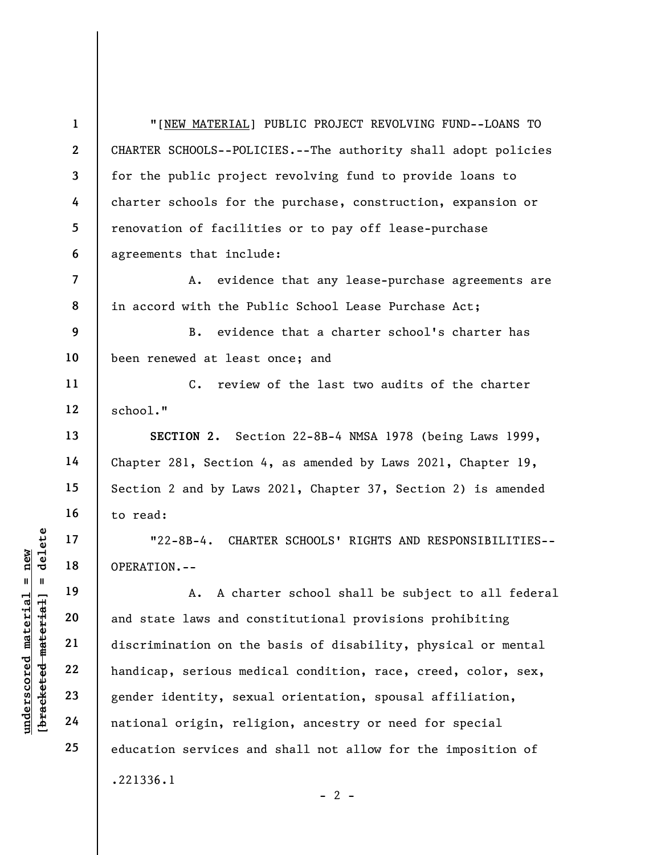1 2 3 4 5 6 7 8 9 10 11 12 13 14 15 16 17 "[NEW MATERIAL] PUBLIC PROJECT REVOLVING FUND--LOANS TO CHARTER SCHOOLS--POLICIES.--The authority shall adopt policies for the public project revolving fund to provide loans to charter schools for the purchase, construction, expansion or renovation of facilities or to pay off lease-purchase agreements that include: A. evidence that any lease-purchase agreements are in accord with the Public School Lease Purchase Act; B. evidence that a charter school's charter has been renewed at least once; and C. review of the last two audits of the charter school." SECTION 2. Section 22-8B-4 NMSA 1978 (being Laws 1999, Chapter 281, Section 4, as amended by Laws 2021, Chapter 19, Section 2 and by Laws 2021, Chapter 37, Section 2) is amended to read: "22-8B-4. CHARTER SCHOOLS' RIGHTS AND RESPONSIBILITIES--

OPERATION.--

underscored material = new [bracketed material] = delete A. A charter school shall be subject to all federal and state laws and constitutional provisions prohibiting discrimination on the basis of disability, physical or mental handicap, serious medical condition, race, creed, color, sex, gender identity, sexual orientation, spousal affiliation, national origin, religion, ancestry or need for special education services and shall not allow for the imposition of .221336.1

18

19

20

21

22

23

24

25

 $- 2 -$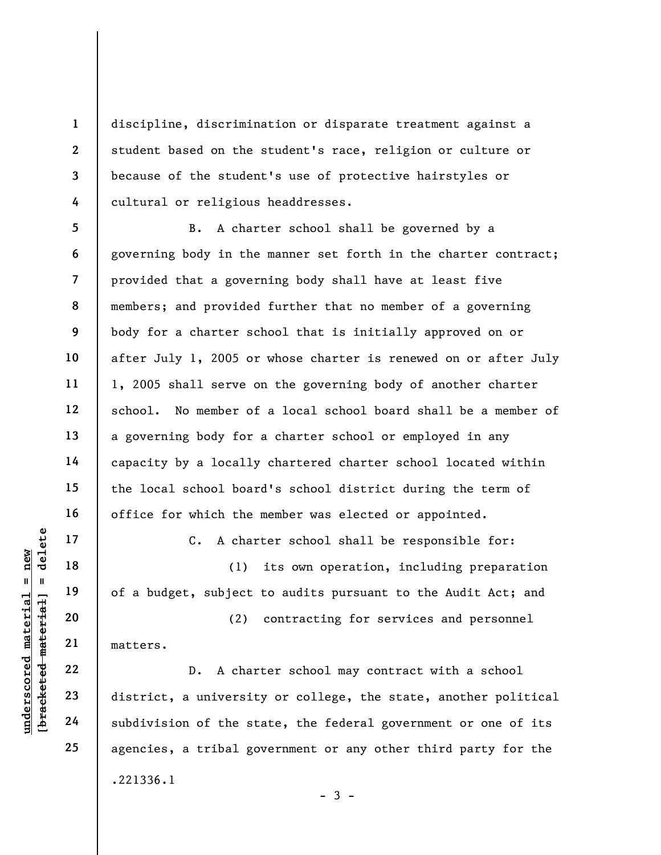discipline, discrimination or disparate treatment against a student based on the student's race, religion or culture or because of the student's use of protective hairstyles or cultural or religious headdresses.

5 6 7 8 9 10 11 12 13 14 15 16 B. A charter school shall be governed by a governing body in the manner set forth in the charter contract; provided that a governing body shall have at least five members; and provided further that no member of a governing body for a charter school that is initially approved on or after July 1, 2005 or whose charter is renewed on or after July 1, 2005 shall serve on the governing body of another charter school. No member of a local school board shall be a member of a governing body for a charter school or employed in any capacity by a locally chartered charter school located within the local school board's school district during the term of office for which the member was elected or appointed.

C. A charter school shall be responsible for:

(1) its own operation, including preparation of a budget, subject to audits pursuant to the Audit Act; and

(2) contracting for services and personnel matters.

underscored material material material core in the set of a budget, subject<br>district and the set of a budget, subject<br>district and the set of a characterise<br>district, a universit<br>district, a universit<br>district, a universit D. A charter school may contract with a school district, a university or college, the state, another political subdivision of the state, the federal government or one of its agencies, a tribal government or any other third party for the .221336.1  $-3 -$ 

23

17

18

19

20

21

22

24

25

1

2

3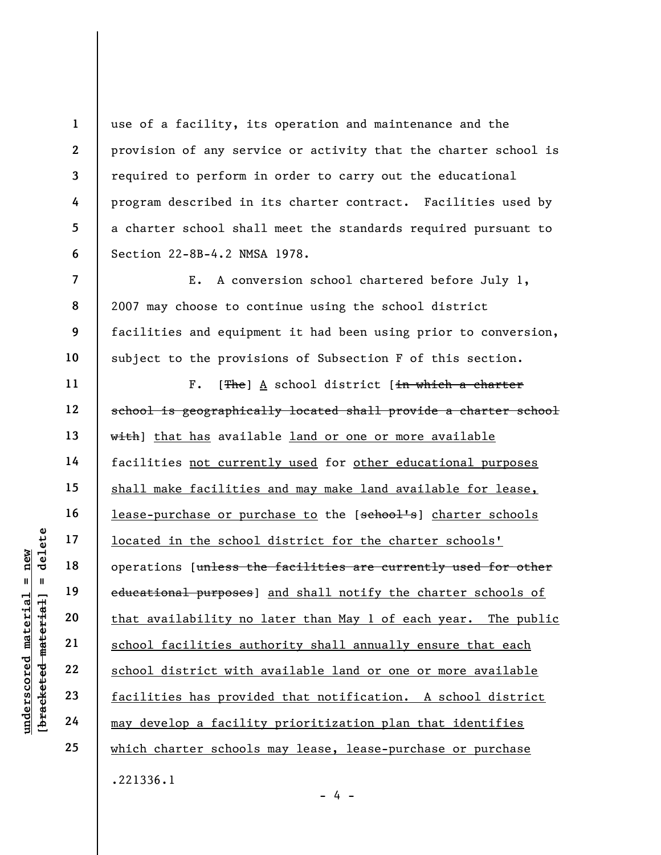use of a facility, its operation and maintenance and the provision of any service or activity that the charter school is required to perform in order to carry out the educational program described in its charter contract. Facilities used by a charter school shall meet the standards required pursuant to Section 22-8B-4.2 NMSA 1978.

E. A conversion school chartered before July 1, 2007 may choose to continue using the school district facilities and equipment it had been using prior to conversion, subject to the provisions of Subsection F of this section.

underscored material = new [bracketed material] = delete F.  $[**The**]$  A school district  $[\frac{in}{n}$  which a charter school is geographically located shall provide a charter school with] that has available land or one or more available facilities not currently used for other educational purposes shall make facilities and may make land available for lease, lease-purchase or purchase to the [school's] charter schools located in the school district for the charter schools' operations [unless the facilities are currently used for other educational purposes] and shall notify the charter schools of that availability no later than May 1 of each year. The public school facilities authority shall annually ensure that each school district with available land or one or more available facilities has provided that notification. A school district may develop a facility prioritization plan that identifies which charter schools may lease, lease-purchase or purchase

.221336.1

1

2

3

4

5

6

7

8

9

10

11

12

13

14

15

16

17

18

19

20

21

22

23

24

25

- 4 -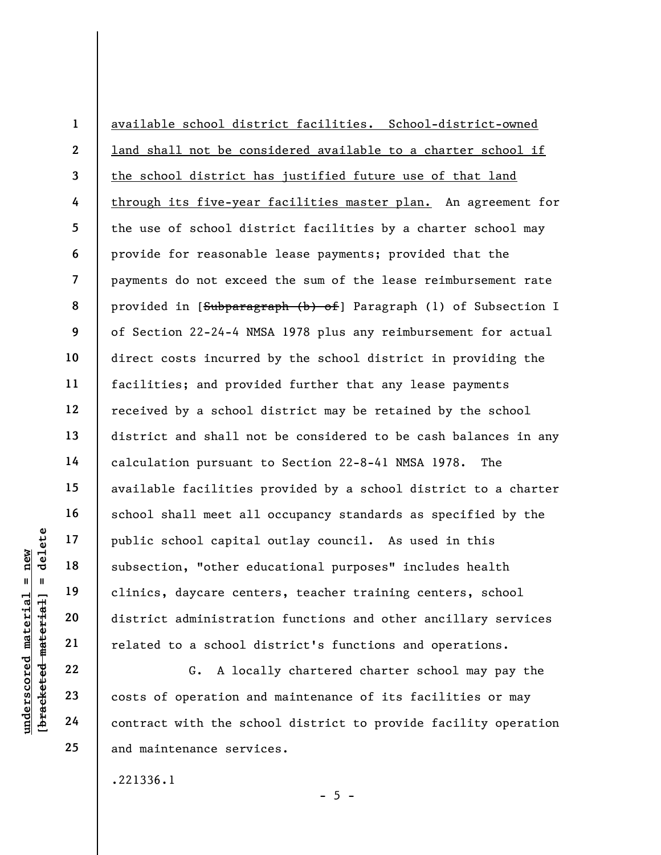underscored material = new [bracketed material] = delete 1 2 3 4 5 6 7 8 9 10 11 12 13 14 15 16 17 18 19 20 21 available school district facilities. School-district-owned land shall not be considered available to a charter school if the school district has justified future use of that land through its five-year facilities master plan. An agreement for the use of school district facilities by a charter school may provide for reasonable lease payments; provided that the payments do not exceed the sum of the lease reimbursement rate provided in [Subparagraph (b) of] Paragraph (l) of Subsection I of Section 22-24-4 NMSA 1978 plus any reimbursement for actual direct costs incurred by the school district in providing the facilities; and provided further that any lease payments received by a school district may be retained by the school district and shall not be considered to be cash balances in any calculation pursuant to Section 22-8-41 NMSA 1978. The available facilities provided by a school district to a charter school shall meet all occupancy standards as specified by the public school capital outlay council. As used in this subsection, "other educational purposes" includes health clinics, daycare centers, teacher training centers, school district administration functions and other ancillary services related to a school district's functions and operations.

G. A locally chartered charter school may pay the costs of operation and maintenance of its facilities or may contract with the school district to provide facility operation and maintenance services.

 $- 5 -$ 

.221336.1

22

23

24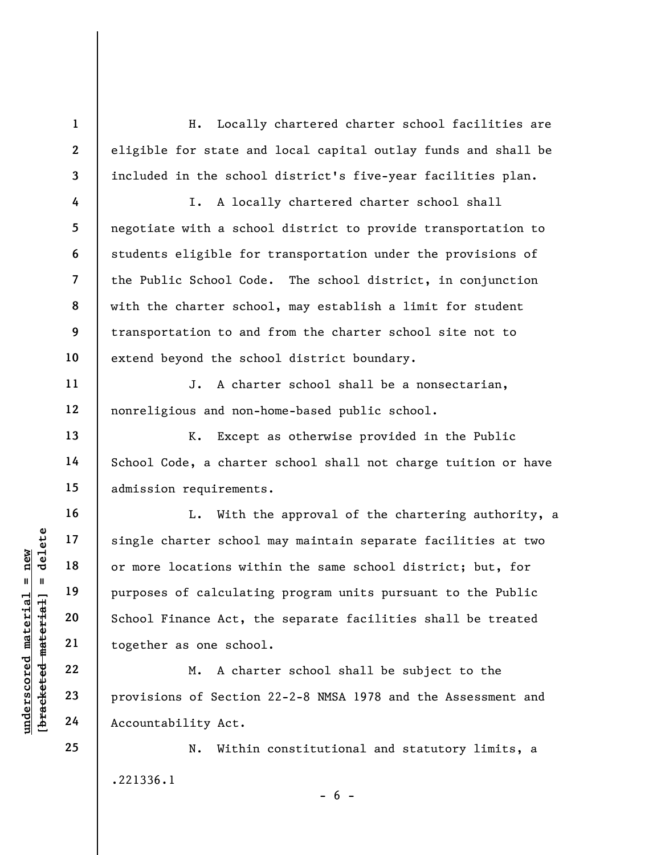H. Locally chartered charter school facilities are eligible for state and local capital outlay funds and shall be included in the school district's five-year facilities plan.

I. A locally chartered charter school shall negotiate with a school district to provide transportation to students eligible for transportation under the provisions of the Public School Code. The school district, in conjunction with the charter school, may establish a limit for student transportation to and from the charter school site not to extend beyond the school district boundary.

J. A charter school shall be a nonsectarian, nonreligious and non-home-based public school.

K. Except as otherwise provided in the Public School Code, a charter school shall not charge tuition or have admission requirements.

underscored material = new [bracketed material] = delete L. With the approval of the chartering authority, a single charter school may maintain separate facilities at two or more locations within the same school district; but, for purposes of calculating program units pursuant to the Public School Finance Act, the separate facilities shall be treated together as one school.

M. A charter school shall be subject to the provisions of Section 22-2-8 NMSA 1978 and the Assessment and Accountability Act.

N. Within constitutional and statutory limits, a .221336.1

 $- 6 -$ 

25

1

2

3

4

5

6

7

8

9

10

11

12

13

14

15

16

17

18

19

20

21

22

23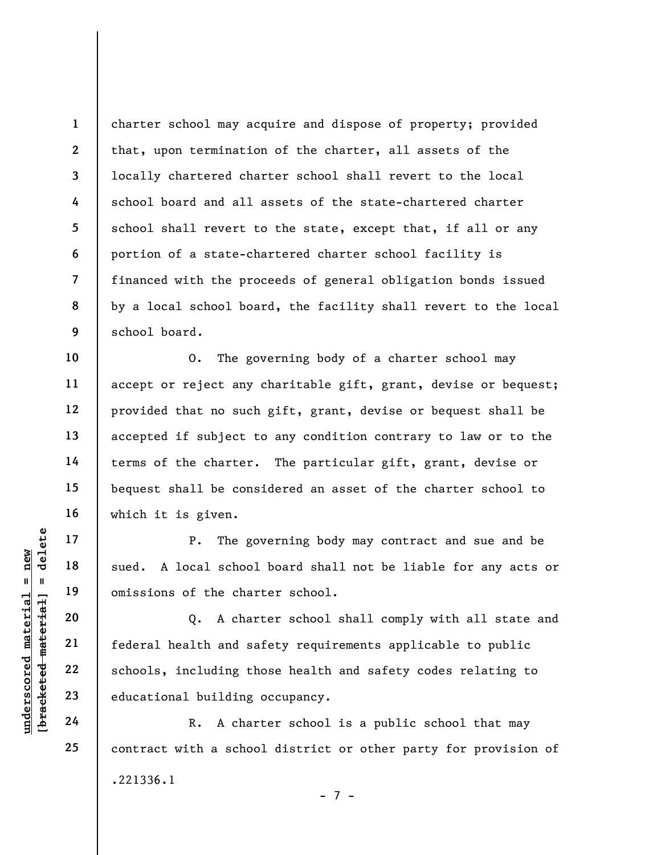1 2 3 4 5 6 7 8 9 charter school may acquire and dispose of property; provided that, upon termination of the charter, all assets of the locally chartered charter school shall revert to the local school board and all assets of the state-chartered charter school shall revert to the state, except that, if all or any portion of a state-chartered charter school facility is financed with the proceeds of general obligation bonds issued by a local school board, the facility shall revert to the local school board.

O. The governing body of a charter school may accept or reject any charitable gift, grant, devise or bequest; provided that no such gift, grant, devise or bequest shall be accepted if subject to any condition contrary to law or to the terms of the charter. The particular gift, grant, devise or bequest shall be considered an asset of the charter school to which it is given.

P. The governing body may contract and sue and be sued. A local school board shall not be liable for any acts or omissions of the charter school.

underscored material material school<br>
weder that a school<br>
weder that a school<br>
weder the char<br>
21<br>
deling the char<br>
22<br>
educational building<br>
24<br>
24<br>
R. A char Q. A charter school shall comply with all state and federal health and safety requirements applicable to public schools, including those health and safety codes relating to educational building occupancy.

R. A charter school is a public school that may contract with a school district or other party for provision of .221336.1 - 7 -

10

11

12

13

14

15

16

17

18

19

20

21

22

23

24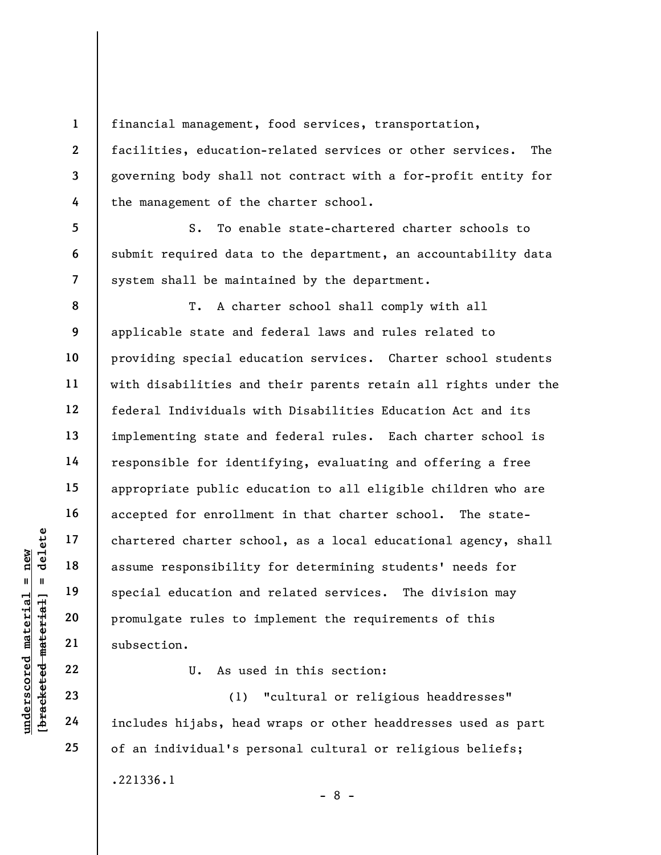financial management, food services, transportation, facilities, education-related services or other services. The governing body shall not contract with a for-profit entity for the management of the charter school.

S. To enable state-chartered charter schools to submit required data to the department, an accountability data system shall be maintained by the department.

underscored matterial education and<br>
understand material assume responsibility<br>
special education and<br>
promulgate rules to i<br>
subsection.<br>
22<br>
understand materials of the subsection.<br>
U. As use<br>
23<br>
24<br>
includes hijabs, he T. A charter school shall comply with all applicable state and federal laws and rules related to providing special education services. Charter school students with disabilities and their parents retain all rights under the federal Individuals with Disabilities Education Act and its implementing state and federal rules. Each charter school is responsible for identifying, evaluating and offering a free appropriate public education to all eligible children who are accepted for enrollment in that charter school. The statechartered charter school, as a local educational agency, shall assume responsibility for determining students' needs for special education and related services. The division may promulgate rules to implement the requirements of this subsection.

U. As used in this section:

(1) "cultural or religious headdresses" includes hijabs, head wraps or other headdresses used as part of an individual's personal cultural or religious beliefs; .221336.1 - 8 -

1

2

3

4

5

6

7

8

9

10

11

12

13

14

15

16

17

18

19

20

21

22

23

24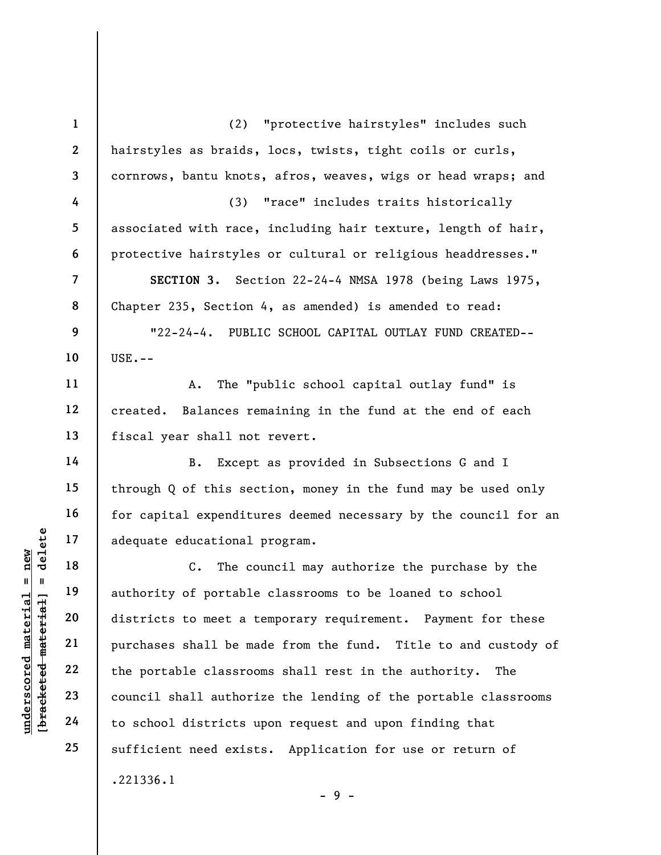understand to school districts to meet a the portable districts to meet a the purchases shall be made the portable classroot council shall authorized the portable classroot council shall authorized to school districts u 1 2 3 4 5 6 7 8 9 10 11 12 13 14 15 16 17 18 19 20 21 22 23 24 25 (2) "protective hairstyles" includes such hairstyles as braids, locs, twists, tight coils or curls, cornrows, bantu knots, afros, weaves, wigs or head wraps; and (3) "race" includes traits historically associated with race, including hair texture, length of hair, protective hairstyles or cultural or religious headdresses." SECTION 3. Section 22-24-4 NMSA 1978 (being Laws 1975, Chapter 235, Section 4, as amended) is amended to read: "22-24-4. PUBLIC SCHOOL CAPITAL OUTLAY FUND CREATED--  $USE. - -$ A. The "public school capital outlay fund" is created. Balances remaining in the fund at the end of each fiscal year shall not revert. B. Except as provided in Subsections G and I through Q of this section, money in the fund may be used only for capital expenditures deemed necessary by the council for an adequate educational program. C. The council may authorize the purchase by the authority of portable classrooms to be loaned to school districts to meet a temporary requirement. Payment for these purchases shall be made from the fund. Title to and custody of the portable classrooms shall rest in the authority. The council shall authorize the lending of the portable classrooms to school districts upon request and upon finding that sufficient need exists. Application for use or return of .221336.1

- 9 -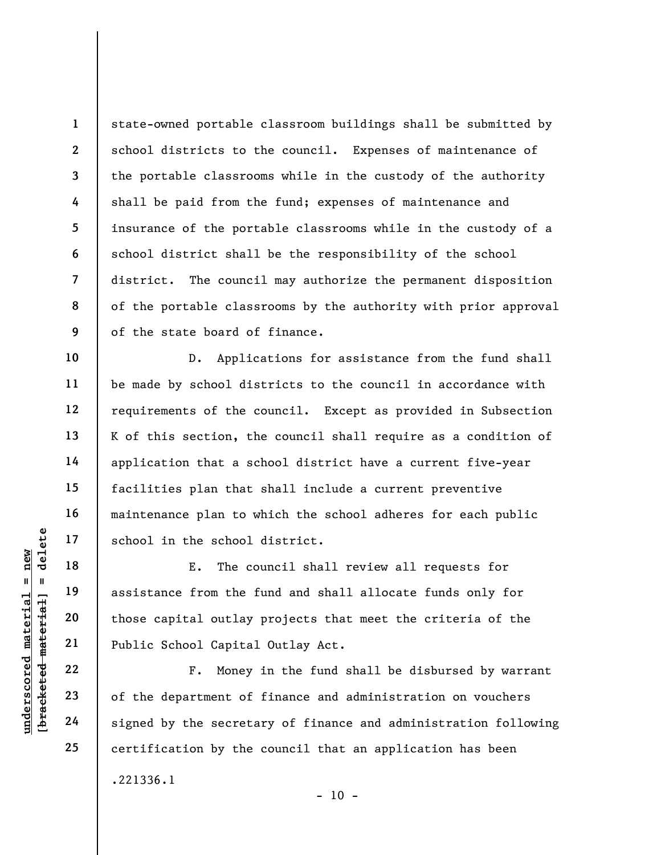1 2 3 4 5 6 7 8 9 state-owned portable classroom buildings shall be submitted by school districts to the council. Expenses of maintenance of the portable classrooms while in the custody of the authority shall be paid from the fund; expenses of maintenance and insurance of the portable classrooms while in the custody of a school district shall be the responsibility of the school district. The council may authorize the permanent disposition of the portable classrooms by the authority with prior approval of the state board of finance.

D. Applications for assistance from the fund shall be made by school districts to the council in accordance with requirements of the council. Except as provided in Subsection K of this section, the council shall require as a condition of application that a school district have a current five-year facilities plan that shall include a current preventive maintenance plan to which the school adheres for each public school in the school district.

underscored material school in the school<br>  $\begin{array}{c|c|c|c} \hline \text{u} & \text{u} & \text{u} & \text{u} & \text{u} & \text{u} & \text{u} & \text{u} & \text{u} & \text{u} & \text{u} & \text{u} & \text{u} & \text{u} & \text{u} & \text{u} & \text{u} & \text{u} & \text{u} & \text{u} & \text{u} & \text{u} & \text{u} & \text{u} & \text{u} & \text{u} & \text{u} &$ E. The council shall review all requests for assistance from the fund and shall allocate funds only for those capital outlay projects that meet the criteria of the Public School Capital Outlay Act.

F. Money in the fund shall be disbursed by warrant of the department of finance and administration on vouchers signed by the secretary of finance and administration following certification by the council that an application has been .221336.1  $- 10 -$ 

10

11

12

13

14

15

16

17

18

19

20

21

22

23

24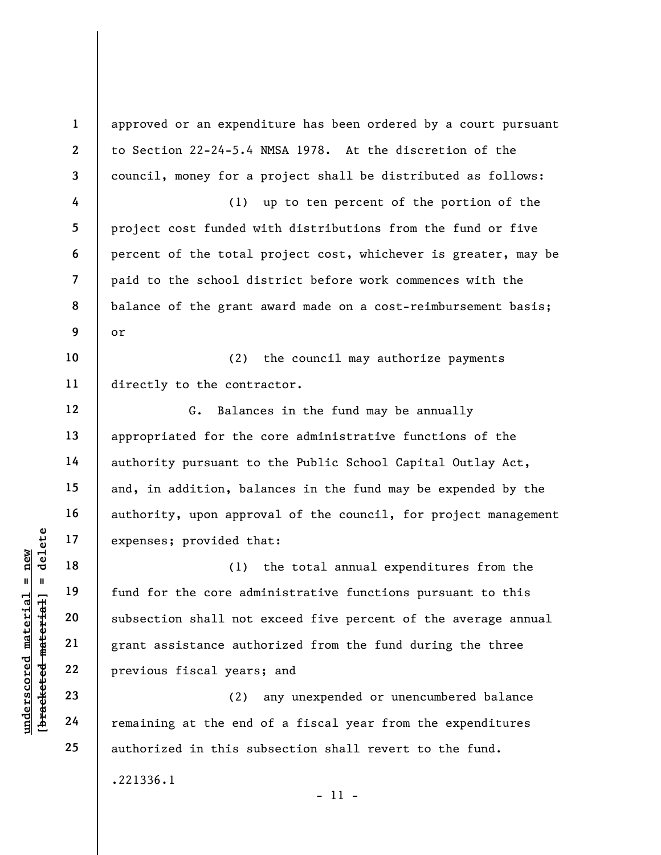underscored material = new [bracketed material] = delete 1 2 3 4 5 6 7 8 9 10 11 12 13 14 15 16 17 18 19 20 21 22 23 24 25 approved or an expenditure has been ordered by a court pursuant to Section 22-24-5.4 NMSA 1978. At the discretion of the council, money for a project shall be distributed as follows: (1) up to ten percent of the portion of the project cost funded with distributions from the fund or five percent of the total project cost, whichever is greater, may be paid to the school district before work commences with the balance of the grant award made on a cost-reimbursement basis; or (2) the council may authorize payments directly to the contractor. G. Balances in the fund may be annually appropriated for the core administrative functions of the authority pursuant to the Public School Capital Outlay Act, and, in addition, balances in the fund may be expended by the authority, upon approval of the council, for project management expenses; provided that: (1) the total annual expenditures from the fund for the core administrative functions pursuant to this subsection shall not exceed five percent of the average annual grant assistance authorized from the fund during the three previous fiscal years; and (2) any unexpended or unencumbered balance remaining at the end of a fiscal year from the expenditures authorized in this subsection shall revert to the fund. .221336.1

- 11 -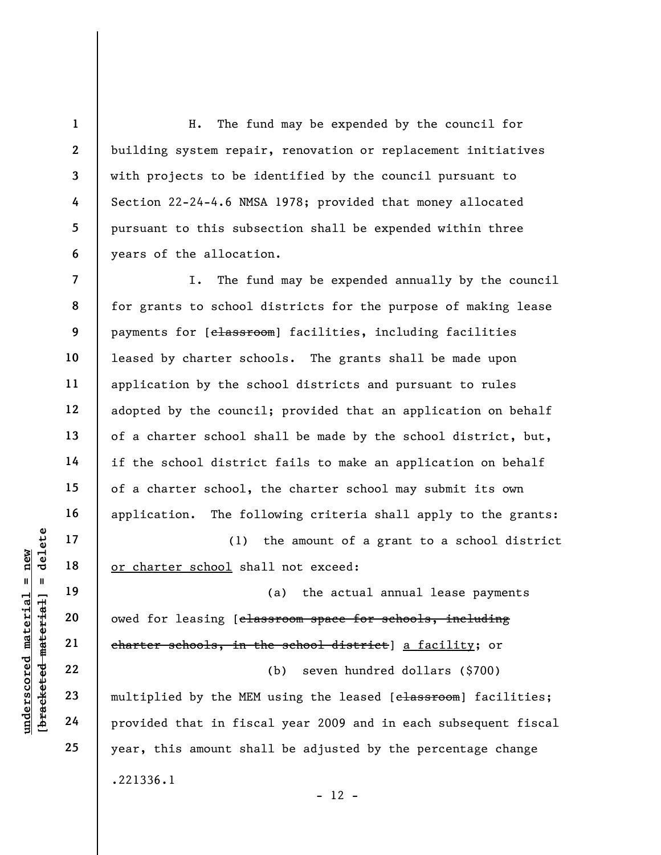H. The fund may be expended by the council for building system repair, renovation or replacement initiatives with projects to be identified by the council pursuant to Section 22-24-4.6 NMSA 1978; provided that money allocated pursuant to this subsection shall be expended within three years of the allocation.

7 8 9 10 11 12 13 14 15 16 I. The fund may be expended annually by the council for grants to school districts for the purpose of making lease payments for [classroom] facilities, including facilities leased by charter schools. The grants shall be made upon application by the school districts and pursuant to rules adopted by the council; provided that an application on behalf of a charter school shall be made by the school district, but, if the school district fails to make an application on behalf of a charter school, the charter school may submit its own application. The following criteria shall apply to the grants:

(1) the amount of a grant to a school district or charter school shall not exceed:

underschool sha<br>
underschool sha<br>
underschool sha<br>
underschool sha<br>
underschool sha<br>
exchange the schools, in the MEM<br>
underschools in the MEM<br>
24<br>
provided that in fisc (a) the actual annual lease payments owed for leasing [classroom space for schools, including charter schools, in the school district] a facility; or (b) seven hundred dollars (\$700) multiplied by the MEM using the leased [chassroom] facilities; provided that in fiscal year 2009 and in each subsequent fiscal year, this amount shall be adjusted by the percentage change .221336.1  $- 12 -$ 

17

18

19

20

21

22

23

24

25

1

2

3

4

5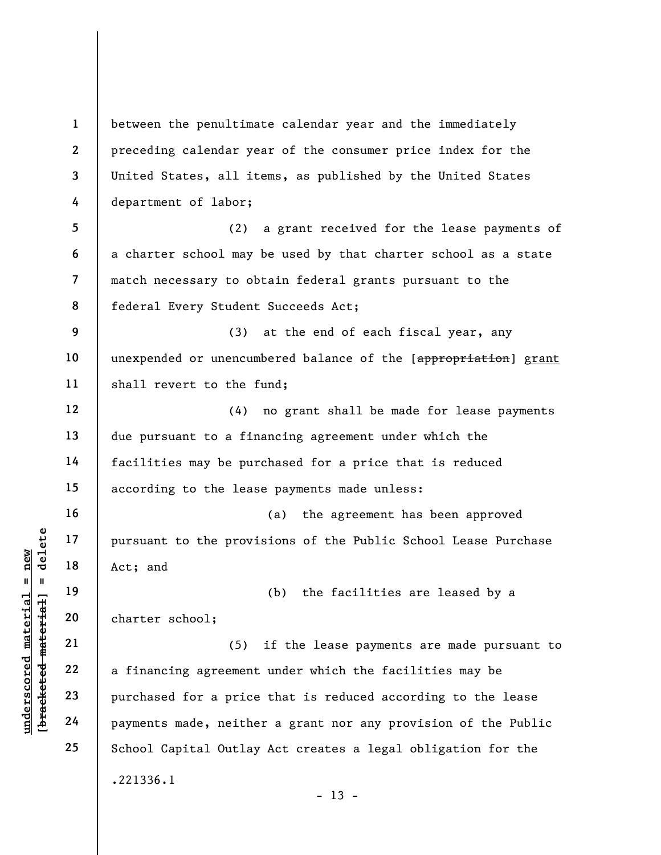underscored material = new [bracketed material] = delete 1 2 3 4 5 6 7 8 9 10 11 12 13 14 15 16 17 18 19 20 21 22 23 24 25 between the penultimate calendar year and the immediately preceding calendar year of the consumer price index for the United States, all items, as published by the United States department of labor; (2) a grant received for the lease payments of a charter school may be used by that charter school as a state match necessary to obtain federal grants pursuant to the federal Every Student Succeeds Act; (3) at the end of each fiscal year, any unexpended or unencumbered balance of the [appropriation] grant shall revert to the fund; (4) no grant shall be made for lease payments due pursuant to a financing agreement under which the facilities may be purchased for a price that is reduced according to the lease payments made unless: (a) the agreement has been approved pursuant to the provisions of the Public School Lease Purchase Act; and (b) the facilities are leased by a charter school; (5) if the lease payments are made pursuant to a financing agreement under which the facilities may be purchased for a price that is reduced according to the lease payments made, neither a grant nor any provision of the Public School Capital Outlay Act creates a legal obligation for the .221336.1  $- 13 -$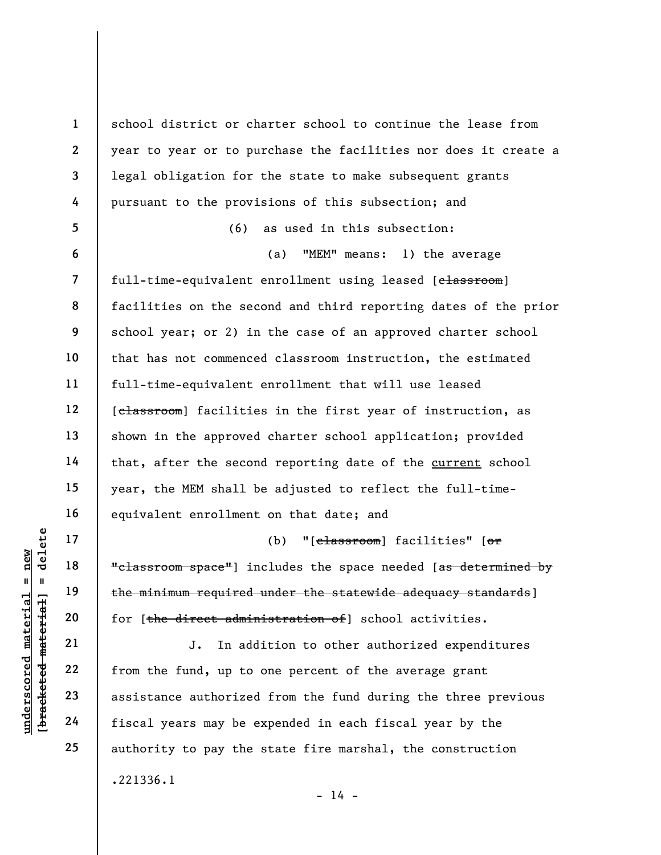underscored material = new [bracketed material] = delete 1 2 3 4 5 6 7 8 9 10 11 12 13 14 15 16 17 18 19 20 21 22 23 24 25 school district or charter school to continue the lease from year to year or to purchase the facilities nor does it create a legal obligation for the state to make subsequent grants pursuant to the provisions of this subsection; and (6) as used in this subsection: (a) "MEM" means: 1) the average full-time-equivalent enrollment using leased [classroom] facilities on the second and third reporting dates of the prior school year; or 2) in the case of an approved charter school that has not commenced classroom instruction, the estimated full-time-equivalent enrollment that will use leased [classroom] facilities in the first year of instruction, as shown in the approved charter school application; provided that, after the second reporting date of the current school year, the MEM shall be adjusted to reflect the full-timeequivalent enrollment on that date; and (b) "[classroom] facilities" [or "classroom space"] includes the space needed [as determined by the minimum required under the statewide adequacy standards] for [the direct administration of] school activities. J. In addition to other authorized expenditures from the fund, up to one percent of the average grant assistance authorized from the fund during the three previous fiscal years may be expended in each fiscal year by the authority to pay the state fire marshal, the construction .221336.1

 $- 14 -$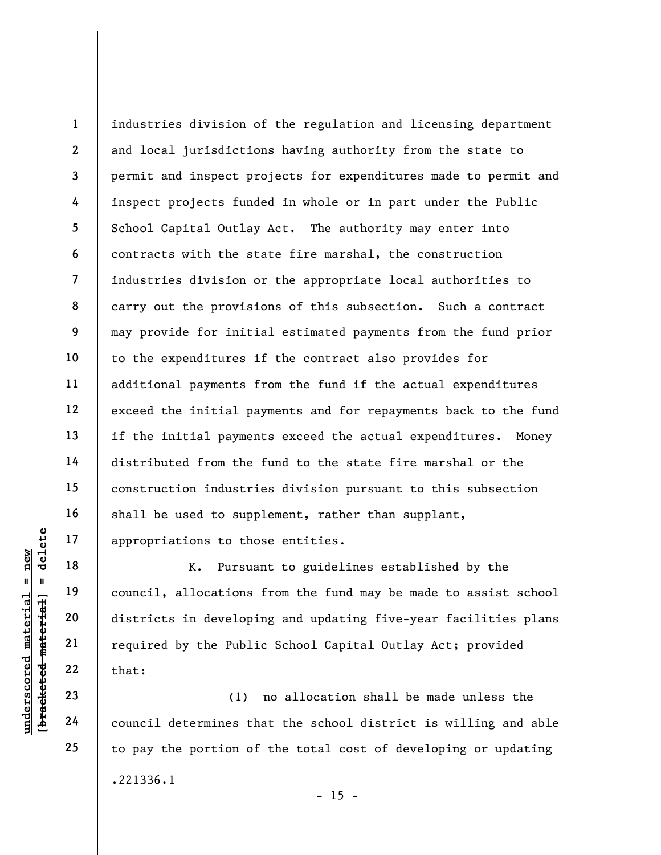1 2 3 4 5 6 7 8 9 10 11 12 13 14 15 16 17 industries division of the regulation and licensing department and local jurisdictions having authority from the state to permit and inspect projects for expenditures made to permit and inspect projects funded in whole or in part under the Public School Capital Outlay Act. The authority may enter into contracts with the state fire marshal, the construction industries division or the appropriate local authorities to carry out the provisions of this subsection. Such a contract may provide for initial estimated payments from the fund prior to the expenditures if the contract also provides for additional payments from the fund if the actual expenditures exceed the initial payments and for repayments back to the fund if the initial payments exceed the actual expenditures. Money distributed from the fund to the state fire marshal or the construction industries division pursuant to this subsection shall be used to supplement, rather than supplant, appropriations to those entities.

underscored material = new [bracketed material] = delete K. Pursuant to guidelines established by the council, allocations from the fund may be made to assist school districts in developing and updating five-year facilities plans required by the Public School Capital Outlay Act; provided that:

(1) no allocation shall be made unless the council determines that the school district is willing and able to pay the portion of the total cost of developing or updating .221336.1  $- 15 -$ 

18

19

20

21

22

23

24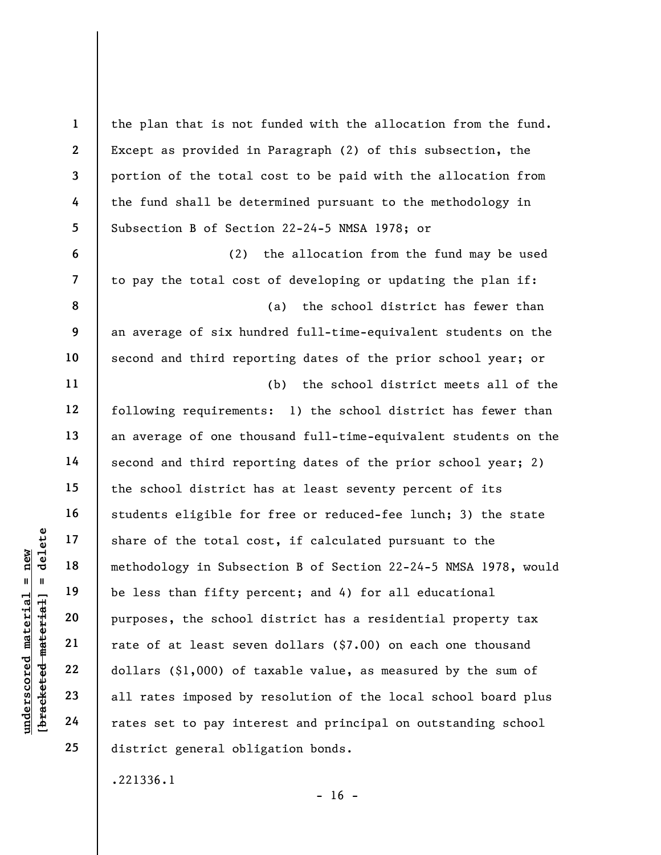underscored material share of the total computer of the total computer of the total computer of the total computer of the total computer of the total computer of the less than fifty per purposes, the school rate of at leas 1 2 3 4 5 6 7 8 9 10 11 12 13 14 15 16 17 18 19 20 21 22 23 24 25 the plan that is not funded with the allocation from the fund. Except as provided in Paragraph (2) of this subsection, the portion of the total cost to be paid with the allocation from the fund shall be determined pursuant to the methodology in Subsection B of Section 22-24-5 NMSA 1978; or (2) the allocation from the fund may be used to pay the total cost of developing or updating the plan if: (a) the school district has fewer than an average of six hundred full-time-equivalent students on the second and third reporting dates of the prior school year; or (b) the school district meets all of the following requirements: 1) the school district has fewer than an average of one thousand full-time-equivalent students on the second and third reporting dates of the prior school year; 2) the school district has at least seventy percent of its students eligible for free or reduced-fee lunch; 3) the state share of the total cost, if calculated pursuant to the methodology in Subsection B of Section 22-24-5 NMSA 1978, would be less than fifty percent; and 4) for all educational purposes, the school district has a residential property tax rate of at least seven dollars (\$7.00) on each one thousand dollars (\$1,000) of taxable value, as measured by the sum of all rates imposed by resolution of the local school board plus rates set to pay interest and principal on outstanding school district general obligation bonds.

.221336.1

 $- 16 -$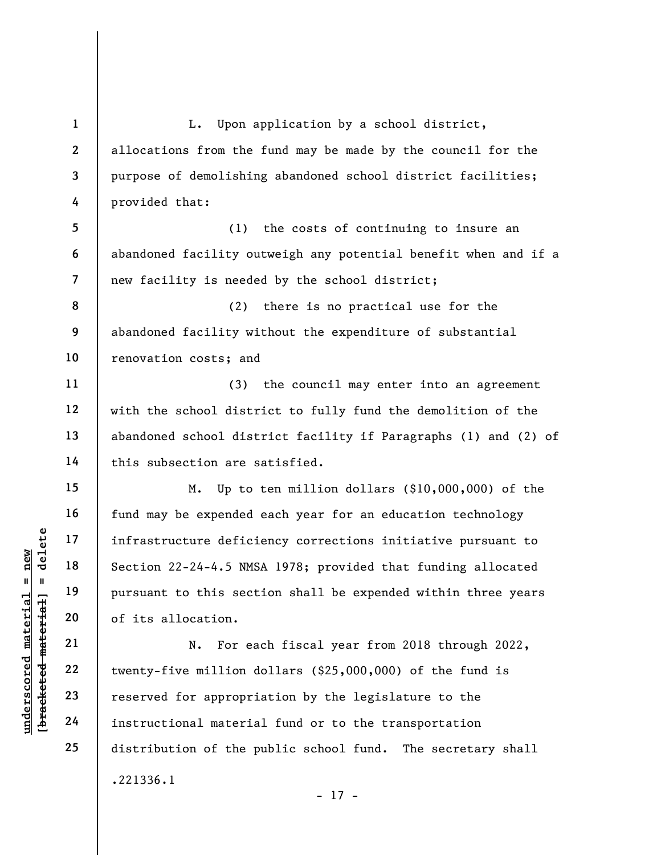underscored material = new [bracketed material] = delete 1 2 3 4 5 6 7 8 9 10 11 12 13 14 15 16 17 18 19 20 21 22 25 L. Upon application by a school district, allocations from the fund may be made by the council for the purpose of demolishing abandoned school district facilities; provided that: (1) the costs of continuing to insure an abandoned facility outweigh any potential benefit when and if a new facility is needed by the school district; (2) there is no practical use for the abandoned facility without the expenditure of substantial renovation costs; and (3) the council may enter into an agreement with the school district to fully fund the demolition of the abandoned school district facility if Paragraphs (1) and (2) of this subsection are satisfied. M. Up to ten million dollars (\$10,000,000) of the fund may be expended each year for an education technology infrastructure deficiency corrections initiative pursuant to Section 22-24-4.5 NMSA 1978; provided that funding allocated pursuant to this section shall be expended within three years of its allocation. N. For each fiscal year from 2018 through 2022, twenty-five million dollars (\$25,000,000) of the fund is reserved for appropriation by the legislature to the instructional material fund or to the transportation distribution of the public school fund. The secretary shall .221336.1 - 17 -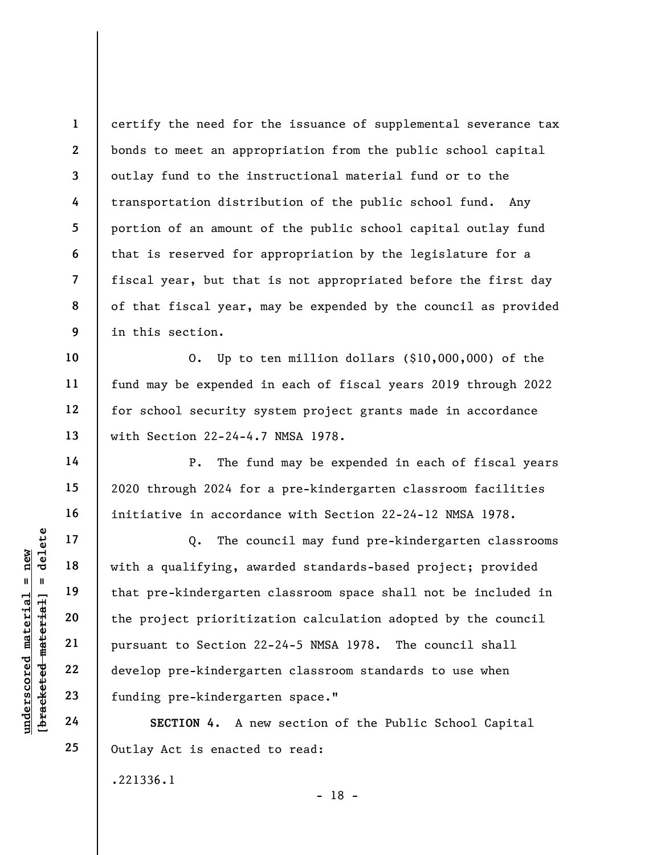1 2 3 4 5 6 7 8 9 certify the need for the issuance of supplemental severance tax bonds to meet an appropriation from the public school capital outlay fund to the instructional material fund or to the transportation distribution of the public school fund. Any portion of an amount of the public school capital outlay fund that is reserved for appropriation by the legislature for a fiscal year, but that is not appropriated before the first day of that fiscal year, may be expended by the council as provided in this section.

O. Up to ten million dollars (\$10,000,000) of the fund may be expended in each of fiscal years 2019 through 2022 for school security system project grants made in accordance with Section 22-24-4.7 NMSA 1978.

P. The fund may be expended in each of fiscal years 2020 through 2024 for a pre-kindergarten classroom facilities initiative in accordance with Section 22-24-12 NMSA 1978.

understanding that pre-kindergarten<br>
with a qualifying, aw<br>
that pre-kindergarten<br>
the project prioritiz<br>
21<br>
22<br>
develop pre-kindergar<br>
23<br>
funding pre-kindergar<br>
24<br>
SECTION 4. A no Q. The council may fund pre-kindergarten classrooms with a qualifying, awarded standards-based project; provided that pre-kindergarten classroom space shall not be included in the project prioritization calculation adopted by the council pursuant to Section 22-24-5 NMSA 1978. The council shall develop pre-kindergarten classroom standards to use when funding pre-kindergarten space."

SECTION 4. A new section of the Public School Capital Outlay Act is enacted to read:

- 18 -

.221336.1

10

11

12

13

14

15

16

17

18

19

20

21

22

23

24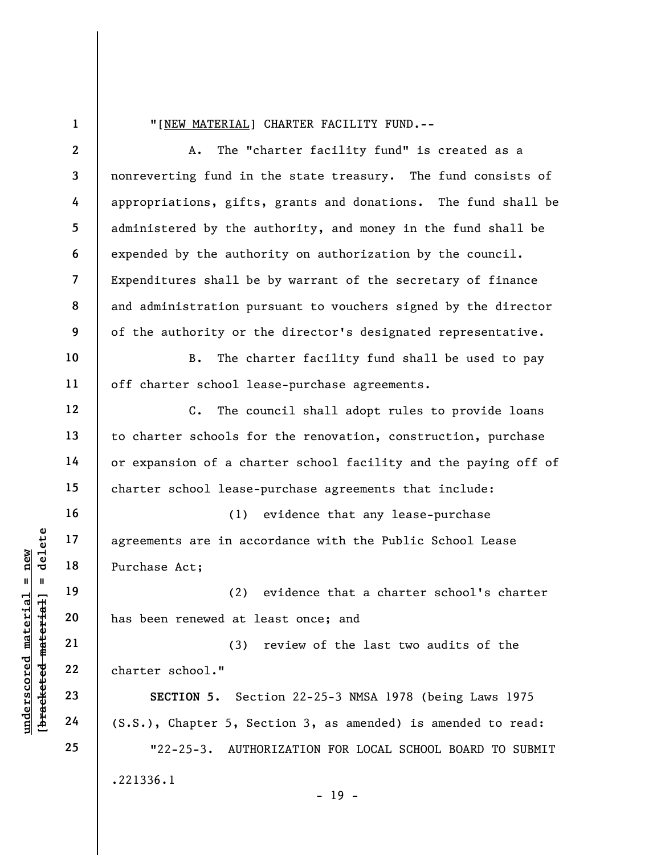1

10

11

12

13

14

15

16

17

18

19

20

21

22

23

24

25

## "[NEW MATERIAL] CHARTER FACILITY FUND.--

2 3 4 5 6 7 8 9 A. The "charter facility fund" is created as a nonreverting fund in the state treasury. The fund consists of appropriations, gifts, grants and donations. The fund shall be administered by the authority, and money in the fund shall be expended by the authority on authorization by the council. Expenditures shall be by warrant of the secretary of finance and administration pursuant to vouchers signed by the director of the authority or the director's designated representative.

B. The charter facility fund shall be used to pay off charter school lease-purchase agreements.

C. The council shall adopt rules to provide loans to charter schools for the renovation, construction, purchase or expansion of a charter school facility and the paying off of charter school lease-purchase agreements that include:

underscore material material external extrements are in accessed in the purchase Act;<br>
and the set of the material of the set of the set of the set of the set of the set of the set of the set of the set of the set of the s (1) evidence that any lease-purchase agreements are in accordance with the Public School Lease Purchase Act;

(2) evidence that a charter school's charter has been renewed at least once; and

(3) review of the last two audits of the charter school."

SECTION 5. Section 22-25-3 NMSA 1978 (being Laws 1975 (S.S.), Chapter 5, Section 3, as amended) is amended to read: "22-25-3. AUTHORIZATION FOR LOCAL SCHOOL BOARD TO SUBMIT

.221336.1

- 19 -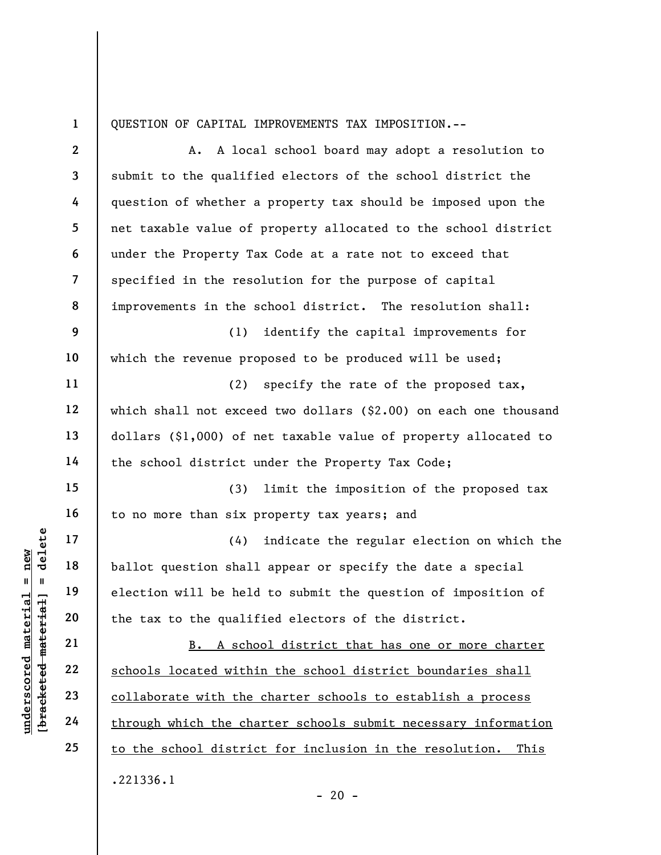1

QUESTION OF CAPITAL IMPROVEMENTS TAX IMPOSITION.--

underscored material = new [bracketed material] = delete 2 3 4 5 6 7 8 9 10 11 12 13 14 15 16 17 18 19 20 21 22 23 24 25 A. A local school board may adopt a resolution to submit to the qualified electors of the school district the question of whether a property tax should be imposed upon the net taxable value of property allocated to the school district under the Property Tax Code at a rate not to exceed that specified in the resolution for the purpose of capital improvements in the school district. The resolution shall: (1) identify the capital improvements for which the revenue proposed to be produced will be used; (2) specify the rate of the proposed tax, which shall not exceed two dollars (\$2.00) on each one thousand dollars (\$1,000) of net taxable value of property allocated to the school district under the Property Tax Code; (3) limit the imposition of the proposed tax to no more than six property tax years; and (4) indicate the regular election on which the ballot question shall appear or specify the date a special election will be held to submit the question of imposition of the tax to the qualified electors of the district. B. A school district that has one or more charter schools located within the school district boundaries shall collaborate with the charter schools to establish a process through which the charter schools submit necessary information to the school district for inclusion in the resolution. This .221336.1

 $- 20 -$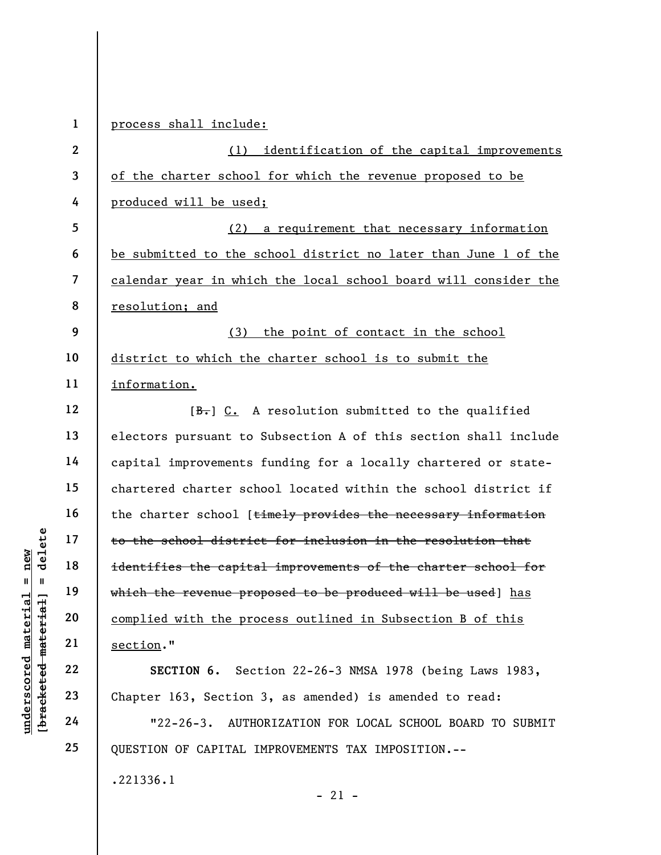|                         | $\mathbf{1}$             | process shall include:                                          |
|-------------------------|--------------------------|-----------------------------------------------------------------|
|                         | $\boldsymbol{2}$         | identification of the capital improvements<br>(1)               |
|                         | 3                        | of the charter school for which the revenue proposed to be      |
|                         | 4                        | produced will be used;                                          |
|                         | 5                        | (2) a requirement that necessary information                    |
|                         | 6                        | be submitted to the school district no later than June 1 of the |
|                         | $\overline{\mathcal{L}}$ | calendar year in which the local school board will consider the |
|                         | 8                        | resolution; and                                                 |
|                         | 9                        | the point of contact in the school<br>(3)                       |
|                         | 10                       | district to which the charter school is to submit the           |
|                         | 11                       | information.                                                    |
|                         | 12                       | $[\frac{B}{\cdot},]$ C. A resolution submitted to the qualified |
|                         | 13                       | electors pursuant to Subsection A of this section shall include |
|                         | 14                       | capital improvements funding for a locally chartered or state-  |
|                         | 15                       | chartered charter school located within the school district if  |
|                         | 16                       | the charter school [timely provides the necessary information   |
| delete                  | 17                       | to the school district for inclusion in the resolution that     |
| new<br>Ш                | 18                       | identifies the capital improvements of the charter school for   |
|                         | 19                       | which the revenue proposed to be produced will be used] has     |
| materia                 | 20                       | complied with the process outlined in Subsection B of this      |
| material                | 21                       | section."                                                       |
| $\bm{{\rm underscore}}$ | 22                       | SECTION 6. Section 22-26-3 NMSA 1978 (being Laws 1983,          |
| [bracketed              | 23                       | Chapter 163, Section 3, as amended) is amended to read:         |
|                         | 24                       | $"22-26-3.$<br>AUTHORIZATION FOR LOCAL SCHOOL BOARD TO SUBMIT   |
|                         | 25                       | QUESTION OF CAPITAL IMPROVEMENTS TAX IMPOSITION.--              |
|                         |                          | .221336.1<br>$-21 -$                                            |

 $\overline{\phantom{a}}$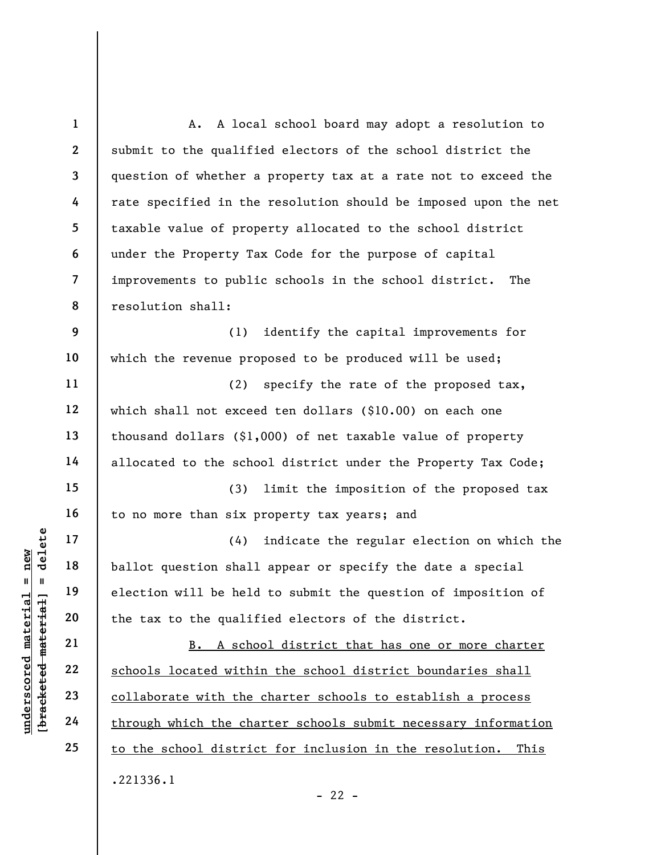underscored material = new [bracketed material] = delete 1 2 3 4 5 6 7 8 9 10 11 12 13 14 15 16 17 18 19 20 21 22 23 24 25 A. A local school board may adopt a resolution to submit to the qualified electors of the school district the question of whether a property tax at a rate not to exceed the rate specified in the resolution should be imposed upon the net taxable value of property allocated to the school district under the Property Tax Code for the purpose of capital improvements to public schools in the school district. The resolution shall: (1) identify the capital improvements for which the revenue proposed to be produced will be used; (2) specify the rate of the proposed tax, which shall not exceed ten dollars (\$10.00) on each one thousand dollars (\$1,000) of net taxable value of property allocated to the school district under the Property Tax Code; (3) limit the imposition of the proposed tax to no more than six property tax years; and (4) indicate the regular election on which the ballot question shall appear or specify the date a special election will be held to submit the question of imposition of the tax to the qualified electors of the district. B. A school district that has one or more charter schools located within the school district boundaries shall collaborate with the charter schools to establish a process through which the charter schools submit necessary information to the school district for inclusion in the resolution. This .221336.1  $- 22 -$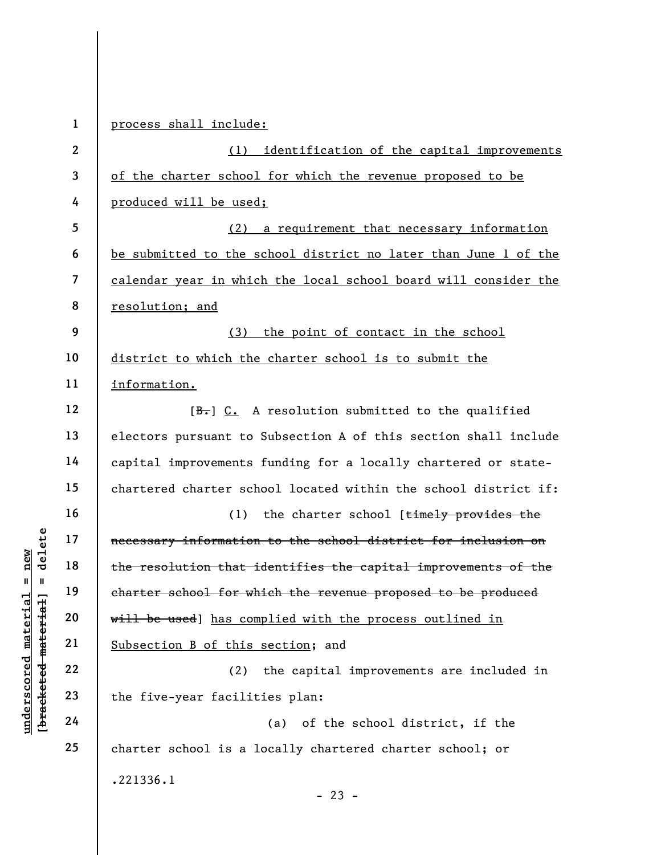|                                                           | $\mathbf{1}$   | process shall include:                                          |
|-----------------------------------------------------------|----------------|-----------------------------------------------------------------|
|                                                           | $\overline{2}$ | identification of the capital improvements<br>(1)               |
|                                                           | 3              | of the charter school for which the revenue proposed to be      |
|                                                           | 4              | produced will be used;                                          |
|                                                           | 5              | a requirement that necessary information<br>(2)                 |
|                                                           | 6              | be submitted to the school district no later than June 1 of the |
|                                                           | $\overline{7}$ | calendar year in which the local school board will consider the |
|                                                           | 8              | resolution; and                                                 |
|                                                           | 9              | (3) the point of contact in the school                          |
|                                                           | 10             | district to which the charter school is to submit the           |
|                                                           | 11             | information.                                                    |
|                                                           | 12             | $[\frac{B}{\cdot},]$ C. A resolution submitted to the qualified |
|                                                           | 13             | electors pursuant to Subsection A of this section shall include |
|                                                           | 14             | capital improvements funding for a locally chartered or state-  |
|                                                           | 15             | chartered charter school located within the school district if: |
|                                                           | 16             | the charter school [timely provides the<br>(1)                  |
| delete                                                    | 17             | necessary information to the school district for inclusion on   |
| $n$ ew                                                    | 18             | the resolution that identifies the capital improvements of the  |
| Ш<br>Ш                                                    | 19             | charter school for which the revenue proposed to be produced    |
|                                                           | 20             | will be used] has complied with the process outlined in         |
| underscored material<br>[ <del>bracketed material</del> ] | 21             | Subsection B of this section; and                               |
|                                                           | 22             | (2)<br>the capital improvements are included in                 |
|                                                           | 23             | the five-year facilities plan:                                  |
|                                                           | 24             | of the school district, if the<br>(a)                           |
|                                                           | 25             | charter school is a locally chartered charter school; or        |
|                                                           |                | .221336.1                                                       |
|                                                           |                | $-23 -$                                                         |